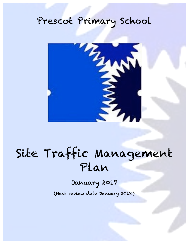## Prescot Primary School



# Site Traffic Management Plan

### January 2017

(Next review date January 2018)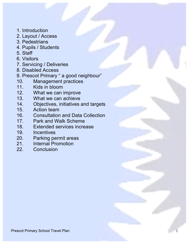- 1. Introduction
- 2. Layout / Access
- 3. Pedestrians
- 4. Pupils / Students
- 5. Staff
- 6. Visitors
- 7. Servicing / Deliveries
- 8. Disabled Access
- 9. Prescot Primary " a good neighbour"
- 10. Management practices
- 11. Kids in bloom<br>12. What we can
- 12. What we can improve<br>13. What we can achieve
- What we can achieve
- 14. Objectives, initiatives and targets<br>15. Action team
- Action team
- 16. Consultation and Data Collection
- 17. Park and Walk Scheme
- 18. Extended services increase
- 19. Incentives
- 20. Parking permit areas
- 21. Internal Promotion
- 22. Conclusion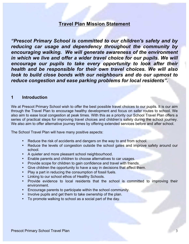#### **Travel Plan Mission Statement**

*"Prescot Primary School is committed to our children's safety and by reducing car usage and dependency throughout the community by encouraging walking. We will generate awareness of the environment in which we live and offer a wider travel choice for our pupils. We will*  encourage our pupils to take every opportunity to look after their *health and be responsible for their own travel choices. We will also look to build close bonds with our neighbours and do our upmost to reduce congestion and ease parking problems for local residents".*

#### **1 Introduction**

We at Prescot Primary School wish to offer the best possible travel choices to our pupils. It is our aim through the Travel Plan to encourage healthy development and focus on safer routes to school. We also aim to ease local congestion at peak times. With this as a priority our School Travel Plan offers a series of practical steps for improving travel choices and children's safety during the school journey. We also aim to offer alternative journey times by offering extended services before and after school.

The School Travel Plan will have many positive aspects:

- Reduce the risk of accidents and dangers on the way to and from school.
- Reduce the levels of congestion outside the school gates and improve safety around our school.
- A quieter and more pleasant school neighbourhood.
- Enable parents and children to choose alternatives to car usages.
- Provide scope for children to gain confidence and travel with friends.
- Give children the opportunity to have a say in decisions that affect them.
- Play a part in reducing the consumption of fossil fuels.
- Linking to our school ethos of Healthy Schools.
- Provide evidence to local residents that the school is committed to improving their environment.
- Encourage parents to participate within the school community.
- Involve pupils and get them to take ownership of the plan.
- To promote walking to school as a social part of the day.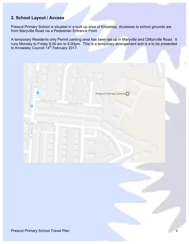#### **2. School Layout / Access**

Prescot Primary School is situated in a built up area of Knowlsey. Accesses to school grounds are from Maryville Road via a Pedestrian Entrance Point

A temporary Residents only Permit parking area has been set up in Maryville and Cliftonville Road. It runs Monday to Friday 8.00 am to 6.00pm. This is a temporary arrangement and is a to be presented to Knowsley Council 14<sup>th</sup> February 2017.

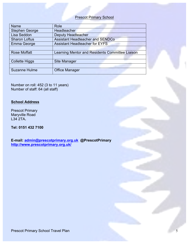#### Prescot Primary School

| <b>Name</b>           | Role                                            |  |  |
|-----------------------|-------------------------------------------------|--|--|
| <b>Stephen George</b> | Headteacher                                     |  |  |
| Lisa Seddon           | <b>Deputy Headteacher</b>                       |  |  |
| <b>Sharon Loftus</b>  | <b>Assistant Headteacher and SENDCo</b>         |  |  |
| Emma George           | <b>Assistant Headteacher for EYFS</b>           |  |  |
|                       |                                                 |  |  |
| <b>Rose Moffatt</b>   | Learning Mentor and Residents Committee Liaison |  |  |
|                       |                                                 |  |  |
| <b>Collette Higgs</b> | <b>Site Manager</b>                             |  |  |
|                       |                                                 |  |  |
| <b>Suzanne Hulme</b>  | <b>Office Manager</b>                           |  |  |

Number on roll: 452 (3 to 11 years) Number of staff: 64 (all staff)

#### **School Address**

Prescot Primary Maryville Road L34 2TA**.**

#### **Tel: 0151 432 7100**

**E-mail: admin@prescotprimary.org.uk @PrescotPrimary http://www.prescotprimary.org.uk/**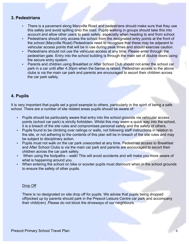#### **3. Pedestrians**

- There is a pavement along Maryville Road and pedestrians should make sure that they use this safely and avoid spilling onto the road. Pupils walking in groups should take this into account and allow other users to pass safely, especially when heading to and from school.
- Pedestrians should only access the school from the designated entry points at the front of the school (Maryville Road) Pedestrians need to recognize that these may be adjacent to vehicular access points that will be in use during peak times and should exercise caution.
- Pedestrians should not use the vehicular access at any time. Please enter through the pedestrian gate. Entry into the school building is through the main set of double doors using the secure entry system.
- Parents and children using Breakfast or After School Club should not enter the school car park in a car until after 4.30pm when the barrier is raised. Pedestrian access to the above clubs is via the main car park and parents are encouraged to escort their children across the car park safely.

#### **4. Pupils**

It is very important that pupils set a good example to others, particularly in the spirit of being a safe school. There are a number of site related areas pupils should be aware of:

- Pupils should be particularly aware that entry into the school grounds via vehicular access points (school car park) is strictly forbidden. Whilst this may seem a quick way into the school, it is a breach of the site rules and compromises personal safety and the safety of others.
- Pupils found to be climbing over railings or walls, not following staff instructions in relation to the site, or not adhering to the contents of this plan will be in breach of the site rules and may be subject to disciplinary action.
- Pupils must not walk on the car park unescorted at any time. Pedestrian access to Breakfast and After School Clubs is via the main car park and parents are encouraged to escort their children across the car park safely.
- When using the footpaths walk! This will avoid accidents and will make you more aware of what is happening around you.
- When entering the school on bike or scooter pupils must dismount when in the school grounds to ensure the safety of other pupils.

#### Drop Off

There is no designated on site drop off for pupils. We advise that pupils being dropped off/picked up by parents should park in the Prescot Leisure Centre car park and accompany their child(ren) .Please do not block the driveways of our neighbours.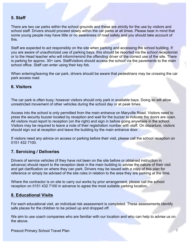#### **5. Staff**

There are two car parks within the school grounds and these are strictly for the use by visitors and school staff. Drivers should proceed slowly within the car parks at all times. Please bear in mind that some young people may have little or no awareness of road safety and you should take account of this.

Staff are expected to act responsibly on the site when parking and accessing the school building. If you are aware of unauthorized use of parking bays, this should be reported via the school receptionist or to the Head teacher who will inform/remind the offending driver of the correct use of the site. There is parking for approx. 30+ cars. Staff/visitors should access the school via the pavements to the main school office. Staff can enter using their key fob.

When entering/leaving the car park, drivers should be aware that pedestrians may be crossing the car park access road.

#### **6. Visitors**

The car park is often busy; however visitors should only park in available bays. Doing so will allow unrestricted movement of other vehicles during the school day or at peak times.

Access into the school is only permitted from the main entrance on Maryville Road. Visitors need to press the security buzzer located by reception and wait for the buzzer to indicate the doors are open. All visitors must report to reception (on the right) and sign in before going anywhere in the school. Visitors may be required to leave a note of their registration number with staff. On departure, visitors should sign out at reception and leave the building by the main entrance door.

If visitors need any advice on access or parking before their visit, please call the school reception on 0151 432 7100.

#### **7. Servicing / Deliveries**

Drivers of service vehicles (if they have not been on the site before or obtained instruction in advance) should report to the reception desk in the main building to advise the nature of their visit and get clarification on where they can park. Drivers may be issued with a copy of this plan for reference or simply be advised of the site rules in relation to the area they are parking at the time.

Where the contractor is on site to carry out works by prior arrangement, please call the school reception on 0151 432 7100 in advance to agree the most suitable parking location.

#### **8. Educational Visits**

For each educational visit, an individual risk assessment is completed. These assessments identify safe places for the children to be picked up and dropped off.

We aim to use coach companies who are familiar with our location and who can help to advise us on the above.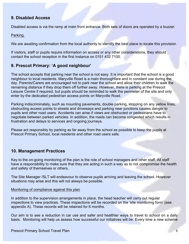#### **9. Disabled Access**

Disabled access is via the ramp at main front entrance. Both sets of doors are operated by a buzzer.

Parking.

We are awaiting confirmation from the local authority to identify the best place to locate this provision.

If visitors, staff or pupils require information on access or any other considerations, they should contact the school reception in the first instance on 0151 432 7100.

#### **9. Prescot Primary: 'A good neighbour'**

The school accepts that parking near the school is not easy. It is important that the school is a good neighbour to local residents. Maryville Road is a main thoroughfare and in constant use during the day. Parents/Carers are encouraged not to park near the school and allow their children to walk the remaining distance if they drop them off further away. However, there is parking at the Prescot Leisure Centre if required, but pupils should be reminded to walk the perimeter of the site and only enter by the dedicated pedestrian access points on Maryville Road.

Parking indiscriminately, such as mounting pavements, double parking, stopping on any yellow lines, obstructing access points to streets and driveways and parking near junctions causes danger to pupils and other road users. Accidents can arise if views are obstructed or pedestrians have to negotiate between parked vehicles. In addition, the roads can become congested which results in frustration and delays to services and ongoing journeys.

Please act responsibly by parking as far away from the school as possible to keep the pupils at Prescot Primary School, local residents and other road users safe.

#### **10. Management Practices**

Key to the on-going monitoring of the plan is the role of school managers and other staff. All staff have a responsibility to make sure that they are acting in such a way as to not compromise the health and safety of themselves or others.

The Site Manager /SLT will endeavour to observe pupils arriving and leaving the school. However situations may arise and this will not always be possible.

#### Monitoring of compliance against this plan

In addition to the supervision arrangements in place, the head teacher will carry out regular inspections to view practices. These inspections will be recorded on the 'site monitoring form' (see appendix A). These records will be retained for 6 months.

Our aim is to see a reduction in car use and safer and healthier ways to travel to school on a daily basis. Monitoring will help us assess how successful our initiatives will be. Every time a new scheme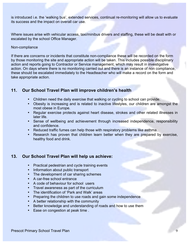is introduced i.e. the 'walking bus', extended services, continual re-monitoring will allow us to evaluate its success and the impact on overall car use.

Where issues arise with vehicular access, taxi/minibus drivers and staffing, these will be dealt with or escalated by the school Office Manager.

#### Non-compliance

If there are concerns or incidents that constitute non-compliance these will be recorded on the form by those monitoring the site and appropriate action will be taken. This includes possible disciplinary action and reports going to Contractor or Service management, which may result in investigative action. On days where there is no monitoring carried out and there is an instance of non compliance, these should be escalated immediately to the Headteacher who will make a record on the form and take appropriate action.

#### **11. Our School Travel Plan will improve children's health**

- Children need the daily exercise that walking or cycling to school can provide.
- Obesity is increasing and is related to inactive lifestyles, our children are amongst the most obese in Europe.
- Regular exercise protects against heart disease, strokes and other related illnesses in later life.
- Sense of wellbeing and achievement through increased independence, responsibility and confidence.
- Reduced traffic fumes can help those with respiratory problems like asthma.
- Research has proven that children learn better when they are prepared by exercise, healthy food and drink.

#### **13. Our School Travel Plan will help us achieve:**

- Practical pedestrian and cycle training events
- Information about public transport
- The development of car sharing schemes
- A car-free school entrance
- A code of behaviour for school users
- Travel awareness as part of the curriculum
- The identification of 'Park and Walk' areas
- Preparing the children to use roads and gain some independence
- A better relationship with the community
- Better knowledge and understanding of roads and how to use them
- Ease on congestion at peak time .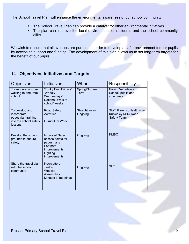The School Travel Plan will enhance the environmental awareness of our school community.

- The School Travel Plan can provide a catalyst for other environmental initiatives.
- The plan can improve the local environment for residents and the school community alike.

We wish to ensure that all avenues are pursued in order to develop a safer environment for our pupils by accessing support and funding. The development of this plan allows us to set long-term targets for the benefit of our pupils

#### 14: **Objectives, Initiatives and Targets**

| <b>Objectives</b>                                                                          | <b>Initiatives</b>                                                                                                | When                     | <b>Responsibility</b>                                            |
|--------------------------------------------------------------------------------------------|-------------------------------------------------------------------------------------------------------------------|--------------------------|------------------------------------------------------------------|
| To encourage more<br>walking to and from<br>school.                                        | 'Funky Feet Fridays'<br>'Wheely<br>Wednesdays'<br>National 'Walk to<br>school' weeks.                             | Spring/Summer<br>Term    | <b>Parent Volunteers</b><br>School, pupils and<br>volunteers     |
| To develop and<br>incorporate<br>pedestrian training<br>into the school safety<br>lessons. | <b>Road Safety</b><br><b>Activities</b><br><b>Curriculum Work</b>                                                 | Straight away<br>Ongoing | Staff, Parents, Healthwise.<br>Knowsley MBC Road<br>Safety Team. |
| Develop the school<br>grounds to ensure<br>safety.                                         | <b>Improved Safer</b><br>access points for<br>pedestrians<br>Footpath<br>improvements<br>Lighting<br>improvements | Ongoing                  | <b>KMBC</b>                                                      |
| Share the travel plan<br>with the school<br>community                                      | <b>Newsletters</b><br><b>Twitter</b><br>Website<br><b>Assemblies</b><br>Minutes of meetings                       | Ongoing                  | <b>SLT</b>                                                       |